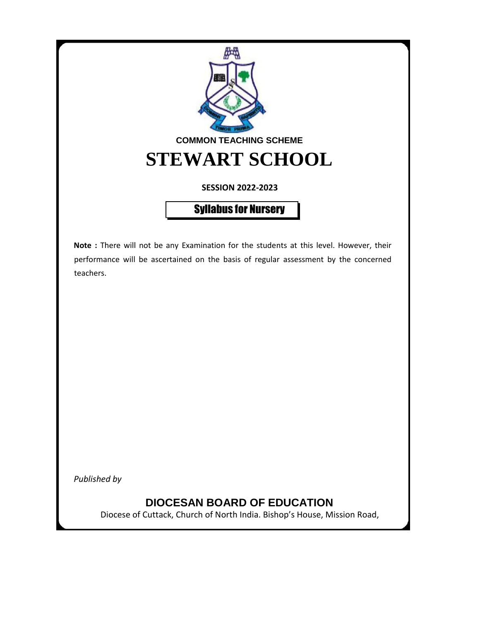

**SESSION 2022-2023**

Syllabus for Nursery

**Note :** There will not be any Examination for the students at this level. However, their performance will be ascertained on the basis of regular assessment by the concerned teachers.

*Published by*

# **DIOCESAN BOARD OF EDUCATION**

Diocese of Cuttack, Church of North India. Bishop's House, Mission Road,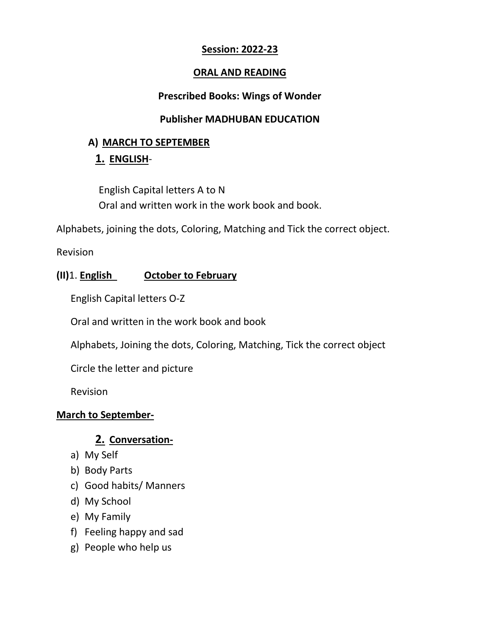### **Session: 2022-23**

### **ORAL AND READING**

#### **Prescribed Books: Wings of Wonder**

### **Publisher MADHUBAN EDUCATION**

### **A) MARCH TO SEPTEMBER**

# **1. ENGLISH**-

English Capital letters A to N Oral and written work in the work book and book.

Alphabets, joining the dots, Coloring, Matching and Tick the correct object.

Revision

# **(II)**1. **English October to February**

English Capital letters O-Z

Oral and written in the work book and book

Alphabets, Joining the dots, Coloring, Matching, Tick the correct object

Circle the letter and picture

Revision

### **March to September-**

# **2. Conversation-**

- a) My Self
- b) Body Parts
- c) Good habits/ Manners
- d) My School
- e) My Family
- f) Feeling happy and sad
- g) People who help us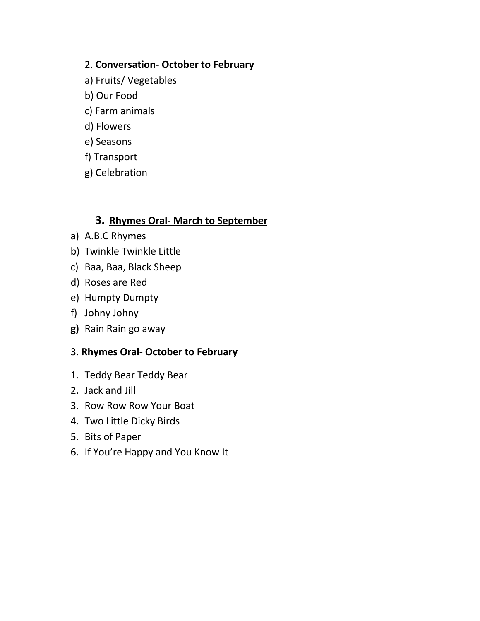### 2. **Conversation- October to February**

- a) Fruits/ Vegetables
- b) Our Food
- c) Farm animals
- d) Flowers
- e) Seasons
- f) Transport
- g) Celebration

# **3. Rhymes Oral- March to September**

- a) A.B.C Rhymes
- b) Twinkle Twinkle Little
- c) Baa, Baa, Black Sheep
- d) Roses are Red
- e) Humpty Dumpty
- f) Johny Johny
- **g)** Rain Rain go away

### 3. **Rhymes Oral- October to February**

- 1. Teddy Bear Teddy Bear
- 2. Jack and Jill
- 3. Row Row Row Your Boat
- 4. Two Little Dicky Birds
- 5. Bits of Paper
- 6. If You're Happy and You Know It